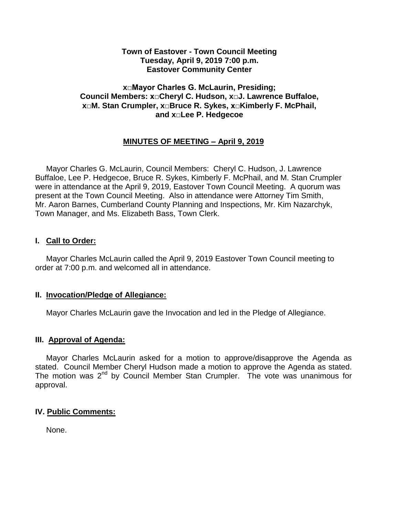## **Town of Eastover - Town Council Meeting Tuesday, April 9, 2019 7:00 p.m. Eastover Community Center**

## **x□Mayor Charles G. McLaurin, Presiding; Council Members: x□Cheryl C. Hudson, x□J. Lawrence Buffaloe, x□M. Stan Crumpler, x□Bruce R. Sykes, x□Kimberly F. McPhail, and x□Lee P. Hedgecoe**

## **MINUTES OF MEETING – April 9, 2019**

 Mayor Charles G. McLaurin, Council Members: Cheryl C. Hudson, J. Lawrence Buffaloe, Lee P. Hedgecoe, Bruce R. Sykes, Kimberly F. McPhail, and M. Stan Crumpler were in attendance at the April 9, 2019, Eastover Town Council Meeting. A quorum was present at the Town Council Meeting. Also in attendance were Attorney Tim Smith, Mr. Aaron Barnes, Cumberland County Planning and Inspections, Mr. Kim Nazarchyk, Town Manager, and Ms. Elizabeth Bass, Town Clerk.

## **I. Call to Order:**

 Mayor Charles McLaurin called the April 9, 2019 Eastover Town Council meeting to order at 7:00 p.m. and welcomed all in attendance.

#### **II. Invocation/Pledge of Allegiance:**

Mayor Charles McLaurin gave the Invocation and led in the Pledge of Allegiance.

#### **III. Approval of Agenda:**

 Mayor Charles McLaurin asked for a motion to approve/disapprove the Agenda as stated. Council Member Cheryl Hudson made a motion to approve the Agenda as stated. The motion was 2<sup>nd</sup> by Council Member Stan Crumpler. The vote was unanimous for approval.

## **IV. Public Comments:**

None.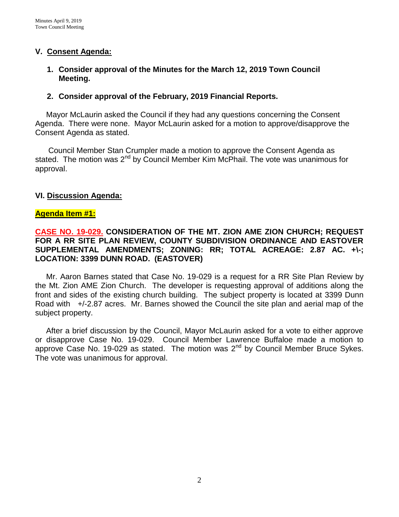## **V. Consent Agenda:**

## **1. Consider approval of the Minutes for the March 12, 2019 Town Council Meeting.**

## **2. Consider approval of the February, 2019 Financial Reports.**

 Mayor McLaurin asked the Council if they had any questions concerning the Consent Agenda. There were none. Mayor McLaurin asked for a motion to approve/disapprove the Consent Agenda as stated.

 Council Member Stan Crumpler made a motion to approve the Consent Agenda as stated. The motion was  $2^{nd}$  by Council Member Kim McPhail. The vote was unanimous for approval.

## **VI. Discussion Agenda:**

### **Agenda Item #1:**

## **CASE NO. 19-029. CONSIDERATION OF THE MT. ZION AME ZION CHURCH; REQUEST FOR A RR SITE PLAN REVIEW, COUNTY SUBDIVISION ORDINANCE AND EASTOVER SUPPLEMENTAL AMENDMENTS; ZONING: RR; TOTAL ACREAGE: 2.87 AC. +\-; LOCATION: 3399 DUNN ROAD. (EASTOVER)**

 Mr. Aaron Barnes stated that Case No. 19-029 is a request for a RR Site Plan Review by the Mt. Zion AME Zion Church. The developer is requesting approval of additions along the front and sides of the existing church building. The subject property is located at 3399 Dunn Road with +/-2.87 acres. Mr. Barnes showed the Council the site plan and aerial map of the subject property.

After a brief discussion by the Council, Mayor McLaurin asked for a vote to either approve or disapprove Case No. 19-029. Council Member Lawrence Buffaloe made a motion to approve Case No. 19-029 as stated. The motion was  $2<sup>nd</sup>$  by Council Member Bruce Sykes. The vote was unanimous for approval.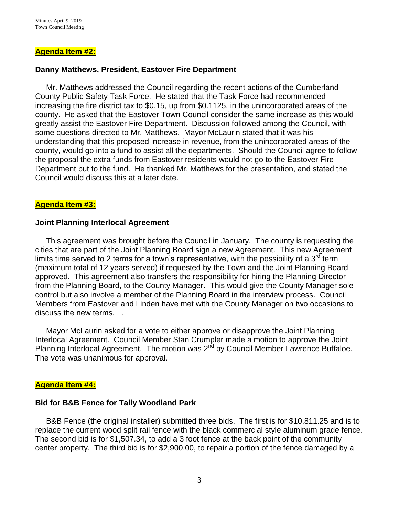#### **Agenda Item #2:**

#### **Danny Matthews, President, Eastover Fire Department**

Mr. Matthews addressed the Council regarding the recent actions of the Cumberland County Public Safety Task Force. He stated that the Task Force had recommended increasing the fire district tax to \$0.15, up from \$0.1125, in the unincorporated areas of the county. He asked that the Eastover Town Council consider the same increase as this would greatly assist the Eastover Fire Department. Discussion followed among the Council, with some questions directed to Mr. Matthews. Mayor McLaurin stated that it was his understanding that this proposed increase in revenue, from the unincorporated areas of the county, would go into a fund to assist all the departments. Should the Council agree to follow the proposal the extra funds from Eastover residents would not go to the Eastover Fire Department but to the fund. He thanked Mr. Matthews for the presentation, and stated the Council would discuss this at a later date.

#### **Agenda Item #3:**

#### **Joint Planning Interlocal Agreement**

This agreement was brought before the Council in January. The county is requesting the cities that are part of the Joint Planning Board sign a new Agreement. This new Agreement limits time served to 2 terms for a town's representative, with the possibility of a  $3<sup>rd</sup>$  term (maximum total of 12 years served) if requested by the Town and the Joint Planning Board approved. This agreement also transfers the responsibility for hiring the Planning Director from the Planning Board, to the County Manager. This would give the County Manager sole control but also involve a member of the Planning Board in the interview process. Council Members from Eastover and Linden have met with the County Manager on two occasions to discuss the new terms. .

Mayor McLaurin asked for a vote to either approve or disapprove the Joint Planning Interlocal Agreement. Council Member Stan Crumpler made a motion to approve the Joint Planning Interlocal Agreement. The motion was 2<sup>nd</sup> by Council Member Lawrence Buffaloe. The vote was unanimous for approval.

#### **Agenda Item #4:**

#### **Bid for B&B Fence for Tally Woodland Park**

B&B Fence (the original installer) submitted three bids. The first is for \$10,811.25 and is to replace the current wood split rail fence with the black commercial style aluminum grade fence. The second bid is for \$1,507.34, to add a 3 foot fence at the back point of the community center property. The third bid is for \$2,900.00, to repair a portion of the fence damaged by a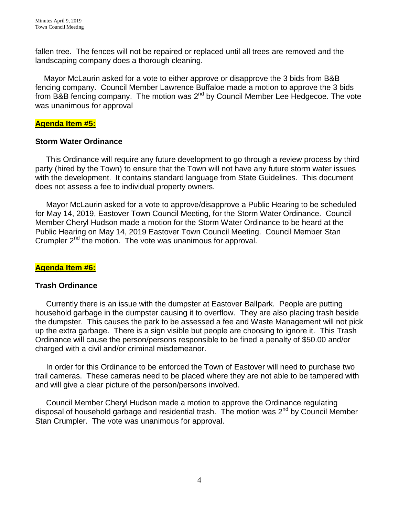fallen tree. The fences will not be repaired or replaced until all trees are removed and the landscaping company does a thorough cleaning.

 Mayor McLaurin asked for a vote to either approve or disapprove the 3 bids from B&B fencing company. Council Member Lawrence Buffaloe made a motion to approve the 3 bids from B&B fencing company. The motion was  $2^{nd}$  by Council Member Lee Hedgecoe. The vote was unanimous for approval

## **Agenda Item #5:**

### **Storm Water Ordinance**

This Ordinance will require any future development to go through a review process by third party (hired by the Town) to ensure that the Town will not have any future storm water issues with the development. It contains standard language from State Guidelines. This document does not assess a fee to individual property owners.

 Mayor McLaurin asked for a vote to approve/disapprove a Public Hearing to be scheduled for May 14, 2019, Eastover Town Council Meeting, for the Storm Water Ordinance. Council Member Cheryl Hudson made a motion for the Storm Water Ordinance to be heard at the Public Hearing on May 14, 2019 Eastover Town Council Meeting. Council Member Stan Crumpler 2<sup>nd</sup> the motion. The vote was unanimous for approval.

## **Agenda Item #6:**

#### **Trash Ordinance**

Currently there is an issue with the dumpster at Eastover Ballpark. People are putting household garbage in the dumpster causing it to overflow. They are also placing trash beside the dumpster. This causes the park to be assessed a fee and Waste Management will not pick up the extra garbage. There is a sign visible but people are choosing to ignore it. This Trash Ordinance will cause the person/persons responsible to be fined a penalty of \$50.00 and/or charged with a civil and/or criminal misdemeanor.

 In order for this Ordinance to be enforced the Town of Eastover will need to purchase two trail cameras. These cameras need to be placed where they are not able to be tampered with and will give a clear picture of the person/persons involved.

 Council Member Cheryl Hudson made a motion to approve the Ordinance regulating disposal of household garbage and residential trash. The motion was  $2^{nd}$  by Council Member Stan Crumpler. The vote was unanimous for approval.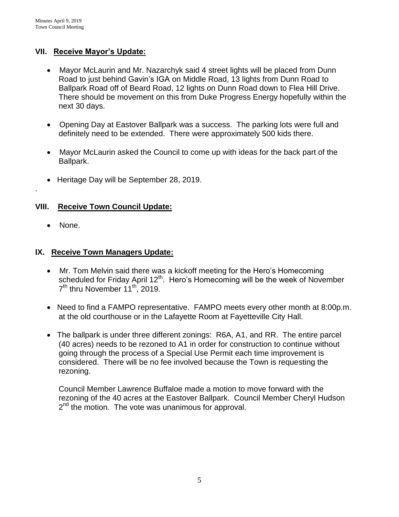## **VII. Receive Mayor's Update:**

- Mayor McLaurin and Mr. Nazarchyk said 4 street lights will be placed from Dunn Road to just behind Gavin's IGA on Middle Road, 13 lights from Dunn Road to Ballpark Road off of Beard Road, 12 lights on Dunn Road down to Flea Hill Drive. There should be movement on this from Duke Progress Energy hopefully within the next 30 days.
- Opening Day at Eastover Ballpark was a success. The parking lots were full and definitely need to be extended. There were approximately 500 kids there.
- Mayor McLaurin asked the Council to come up with ideas for the back part of the Ballpark.
- Heritage Day will be September 28, 2019.

## **VIII. Receive Town Council Update:**

• None.

.

## **IX. Receive Town Managers Update:**

- Mr. Tom Melvin said there was a kickoff meeting for the Hero's Homecoming scheduled for Friday April 12<sup>th</sup>. Hero's Homecoming will be the week of November 7<sup>th</sup> thru November 11<sup>th</sup>, 2019.
- Need to find a FAMPO representative. FAMPO meets every other month at 8:00p.m. at the old courthouse or in the Lafayette Room at Fayetteville City Hall.
- The ballpark is under three different zonings: R6A, A1, and RR. The entire parcel (40 acres) needs to be rezoned to A1 in order for construction to continue without going through the process of a Special Use Permit each time improvement is considered. There will be no fee involved because the Town is requesting the rezoning.

Council Member Lawrence Buffaloe made a motion to move forward with the rezoning of the 40 acres at the Eastover Ballpark. Council Member Cheryl Hudson 2<sup>nd</sup> the motion. The vote was unanimous for approval.